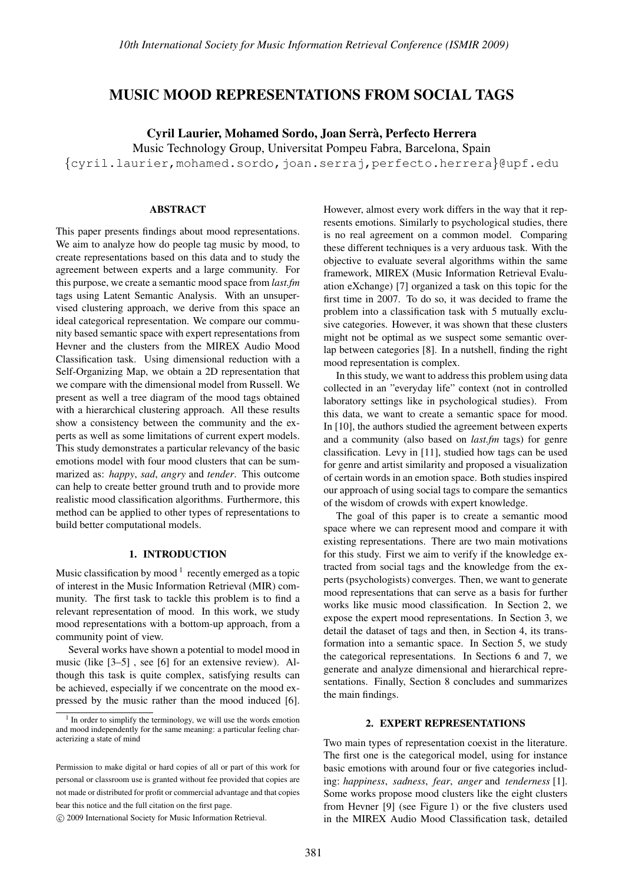# MUSIC MOOD REPRESENTATIONS FROM SOCIAL TAGS

Cyril Laurier, Mohamed Sordo, Joan Serra, Perfecto Herrera `

Music Technology Group, Universitat Pompeu Fabra, Barcelona, Spain

{cyril.laurier,mohamed.sordo,joan.serraj,perfecto.herrera}@upf.edu

### ABSTRACT

This paper presents findings about mood representations. We aim to analyze how do people tag music by mood, to create representations based on this data and to study the agreement between experts and a large community. For this purpose, we create a semantic mood space from *last.fm* tags using Latent Semantic Analysis. With an unsupervised clustering approach, we derive from this space an ideal categorical representation. We compare our community based semantic space with expert representations from Hevner and the clusters from the MIREX Audio Mood Classification task. Using dimensional reduction with a Self-Organizing Map, we obtain a 2D representation that we compare with the dimensional model from Russell. We present as well a tree diagram of the mood tags obtained with a hierarchical clustering approach. All these results show a consistency between the community and the experts as well as some limitations of current expert models. This study demonstrates a particular relevancy of the basic emotions model with four mood clusters that can be summarized as: *happy*, *sad*, *angry* and *tender*. This outcome can help to create better ground truth and to provide more realistic mood classification algorithms. Furthermore, this method can be applied to other types of representations to build better computational models.

### 1. INTRODUCTION

Music classification by mood  $1$  recently emerged as a topic of interest in the Music Information Retrieval (MIR) community. The first task to tackle this problem is to find a relevant representation of mood. In this work, we study mood representations with a bottom-up approach, from a community point of view.

Several works have shown a potential to model mood in music (like [3–5] , see [6] for an extensive review). Although this task is quite complex, satisfying results can be achieved, especially if we concentrate on the mood expressed by the music rather than the mood induced [6].

However, almost every work differs in the way that it represents emotions. Similarly to psychological studies, there is no real agreement on a common model. Comparing these different techniques is a very arduous task. With the objective to evaluate several algorithms within the same framework, MIREX (Music Information Retrieval Evaluation eXchange) [7] organized a task on this topic for the first time in 2007. To do so, it was decided to frame the problem into a classification task with 5 mutually exclusive categories. However, it was shown that these clusters might not be optimal as we suspect some semantic overlap between categories [8]. In a nutshell, finding the right mood representation is complex.

In this study, we want to address this problem using data collected in an "everyday life" context (not in controlled laboratory settings like in psychological studies). From this data, we want to create a semantic space for mood. In [10], the authors studied the agreement between experts and a community (also based on *last.fm* tags) for genre classification. Levy in [11], studied how tags can be used for genre and artist similarity and proposed a visualization of certain words in an emotion space. Both studies inspired our approach of using social tags to compare the semantics of the wisdom of crowds with expert knowledge.

The goal of this paper is to create a semantic mood space where we can represent mood and compare it with existing representations. There are two main motivations for this study. First we aim to verify if the knowledge extracted from social tags and the knowledge from the experts (psychologists) converges. Then, we want to generate mood representations that can serve as a basis for further works like music mood classification. In Section 2, we expose the expert mood representations. In Section 3, we detail the dataset of tags and then, in Section 4, its transformation into a semantic space. In Section 5, we study the categorical representations. In Sections 6 and 7, we generate and analyze dimensional and hierarchical representations. Finally, Section 8 concludes and summarizes the main findings.

#### 2. EXPERT REPRESENTATIONS

Two main types of representation coexist in the literature. The first one is the categorical model, using for instance basic emotions with around four or five categories including: *happiness*, *sadness*, *fear*, *anger* and *tenderness* [1]. Some works propose mood clusters like the eight clusters from Hevner [9] (see Figure 1) or the five clusters used in the MIREX Audio Mood Classification task, detailed

<sup>&</sup>lt;sup>1</sup> In order to simplify the terminology, we will use the words emotion and mood independently for the same meaning: a particular feeling characterizing a state of mind

Permission to make digital or hard copies of all or part of this work for personal or classroom use is granted without fee provided that copies are not made or distributed for profit or commercial advantage and that copies bear this notice and the full citation on the first page.

c 2009 International Society for Music Information Retrieval.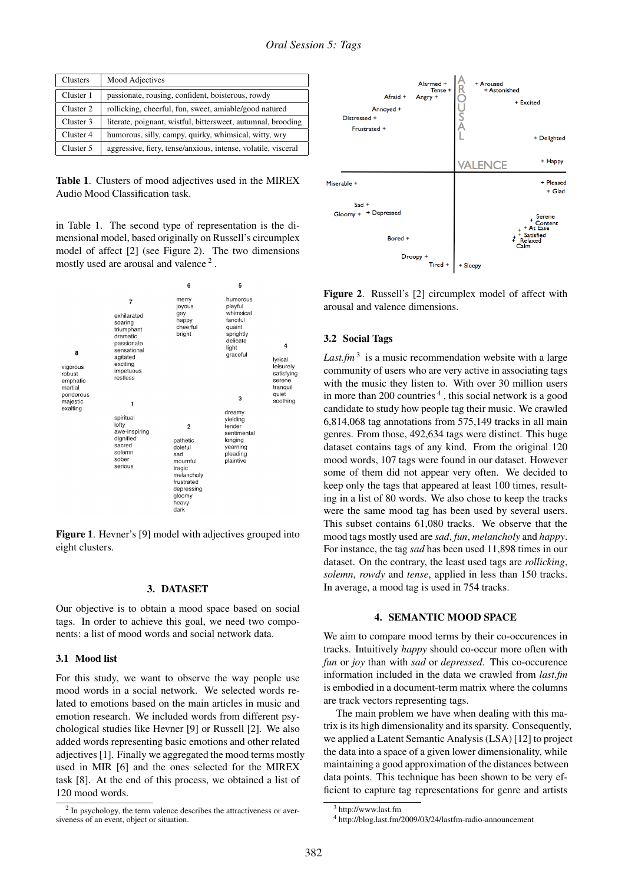| Clusters  | Mood Adjectives                                               |
|-----------|---------------------------------------------------------------|
| Cluster 1 | passionate, rousing, confident, boisterous, rowdy             |
| Cluster 2 | rollicking, cheerful, fun, sweet, amiable/good natured        |
| Cluster 3 | literate, poignant, wistful, bittersweet, autumnal, brooding  |
| Cluster 4 | humorous, silly, campy, quirky, whimsical, witty, wry         |
| Cluster 5 | aggressive, fiery, tense/anxious, intense, volatile, visceral |

Table 1. Clusters of mood adjectives used in the MIREX Audio Mood Classification task.

in Table 1. The second type of representation is the dimensional model, based originally on Russell's circumplex model of affect [2] (see Figure 2). The two dimensions mostly used are arousal and valence<sup>2</sup>.



Figure 1. Hevner's [9] model with adjectives grouped into eight clusters.

#### 3. DATASET

Our objective is to obtain a mood space based on social tags. In order to achieve this goal, we need two components: a list of mood words and social network data.

### 3.1 Mood list

For this study, we want to observe the way people use mood words in a social network. We selected words related to emotions based on the main articles in music and emotion research. We included words from different psychological studies like Hevner [9] or Russell [2]. We also added words representing basic emotions and other related adjectives [1]. Finally we aggregated the mood terms mostly used in MIR [6] and the ones selected for the MIREX task [8]. At the end of this process, we obtained a list of 120 mood words.





Figure 2. Russell's [2] circumplex model of affect with arousal and valence dimensions.

### 3.2 Social Tags

*Last.fm*<sup>3</sup> is a music recommendation website with a large community of users who are very active in associating tags with the music they listen to. With over 30 million users in more than 200 countries<sup>4</sup>, this social network is a good candidate to study how people tag their music. We crawled 6,814,068 tag annotations from 575,149 tracks in all main genres. From those, 492,634 tags were distinct. This huge dataset contains tags of any kind. From the original 120 mood words, 107 tags were found in our dataset. However some of them did not appear very often. We decided to keep only the tags that appeared at least 100 times, resulting in a list of 80 words. We also chose to keep the tracks were the same mood tag has been used by several users. This subset contains 61,080 tracks. We observe that the mood tags mostly used are *sad*, *fun*, *melancholy* and *happy*. For instance, the tag *sad* has been used 11,898 times in our dataset. On the contrary, the least used tags are *rollicking*, *solemn*, *rowdy* and *tense*, applied in less than 150 tracks. In average, a mood tag is used in 754 tracks.

#### 4. SEMANTIC MOOD SPACE

We aim to compare mood terms by their co-occurences in tracks. Intuitively *happy* should co-occur more often with *fun* or *joy* than with *sad* or *depressed*. This co-occurence information included in the data we crawled from *last.fm* is embodied in a document-term matrix where the columns are track vectors representing tags.

The main problem we have when dealing with this matrix is its high dimensionality and its sparsity. Consequently, we applied a Latent Semantic Analysis (LSA) [12] to project the data into a space of a given lower dimensionality, while maintaining a good approximation of the distances between data points. This technique has been shown to be very efficient to capture tag representations for genre and artists

<sup>3</sup> http://www.last.fm

<sup>4</sup> http://blog.last.fm/2009/03/24/lastfm-radio-announcement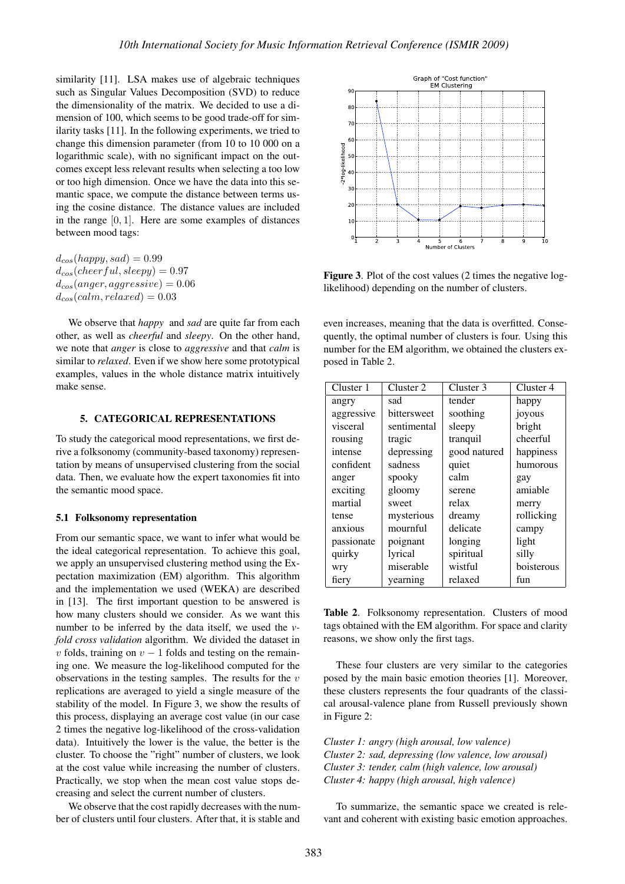similarity [11]. LSA makes use of algebraic techniques such as Singular Values Decomposition (SVD) to reduce the dimensionality of the matrix. We decided to use a dimension of 100, which seems to be good trade-off for similarity tasks [11]. In the following experiments, we tried to change this dimension parameter (from 10 to 10 000 on a logarithmic scale), with no significant impact on the outcomes except less relevant results when selecting a too low or too high dimension. Once we have the data into this semantic space, we compute the distance between terms using the cosine distance. The distance values are included in the range  $[0, 1]$ . Here are some examples of distances between mood tags:

 $d_{cos}(happy, sad) = 0.99$  $d_{cos}(cheerful, sleepy) = 0.97$  $d_{cos}(anger, aggressive) = 0.06$  $d_{cos}(calm, relaxed) = 0.03$ 

We observe that *happy* and *sad* are quite far from each other, as well as *cheerful* and *sleepy*. On the other hand, we note that *anger* is close to *aggressive* and that *calm* is similar to *relaxed*. Even if we show here some prototypical examples, values in the whole distance matrix intuitively make sense.

# 5. CATEGORICAL REPRESENTATIONS

To study the categorical mood representations, we first derive a folksonomy (community-based taxonomy) representation by means of unsupervised clustering from the social data. Then, we evaluate how the expert taxonomies fit into the semantic mood space.

#### 5.1 Folksonomy representation

From our semantic space, we want to infer what would be the ideal categorical representation. To achieve this goal, we apply an unsupervised clustering method using the Expectation maximization (EM) algorithm. This algorithm and the implementation we used (WEKA) are described in [13]. The first important question to be answered is how many clusters should we consider. As we want this number to be inferred by the data itself, we used the *vfold cross validation* algorithm. We divided the dataset in v folds, training on  $v - 1$  folds and testing on the remaining one. We measure the log-likelihood computed for the observations in the testing samples. The results for the  $v$ replications are averaged to yield a single measure of the stability of the model. In Figure 3, we show the results of this process, displaying an average cost value (in our case 2 times the negative log-likelihood of the cross-validation data). Intuitively the lower is the value, the better is the cluster. To choose the "right" number of clusters, we look at the cost value while increasing the number of clusters. Practically, we stop when the mean cost value stops decreasing and select the current number of clusters.

We observe that the cost rapidly decreases with the number of clusters until four clusters. After that, it is stable and



Figure 3. Plot of the cost values (2 times the negative loglikelihood) depending on the number of clusters.

even increases, meaning that the data is overfitted. Consequently, the optimal number of clusters is four. Using this number for the EM algorithm, we obtained the clusters exposed in Table 2.

| Cluster 1  | Cluster 2   | Cluster 3    | Cluster 4  |
|------------|-------------|--------------|------------|
| angry      | sad         | tender       | happy      |
| aggressive | bittersweet | soothing     | joyous     |
| visceral   | sentimental | sleepy       | bright     |
| rousing    | tragic      | tranquil     | cheerful   |
| intense    | depressing  | good natured | happiness  |
| confident  | sadness     | quiet        | humorous   |
| anger      | spooky      | calm         | gay        |
| exciting   | gloomy      | serene       | amiable    |
| martial    | sweet       | relax        | merry      |
| tense      | mysterious  | dreamy       | rollicking |
| anxious    | mournful    | delicate     | campy      |
| passionate | poignant    | longing      | light      |
| quirky     | lyrical     | spiritual    | silly      |
| wry        | miserable   | wistful      | boisterous |
| fiery      | yearning    | relaxed      | fun        |

Table 2. Folksonomy representation. Clusters of mood tags obtained with the EM algorithm. For space and clarity reasons, we show only the first tags.

These four clusters are very similar to the categories posed by the main basic emotion theories [1]. Moreover, these clusters represents the four quadrants of the classical arousal-valence plane from Russell previously shown in Figure 2:

*Cluster 1: angry (high arousal, low valence) Cluster 2: sad, depressing (low valence, low arousal) Cluster 3: tender, calm (high valence, low arousal) Cluster 4: happy (high arousal, high valence)*

To summarize, the semantic space we created is relevant and coherent with existing basic emotion approaches.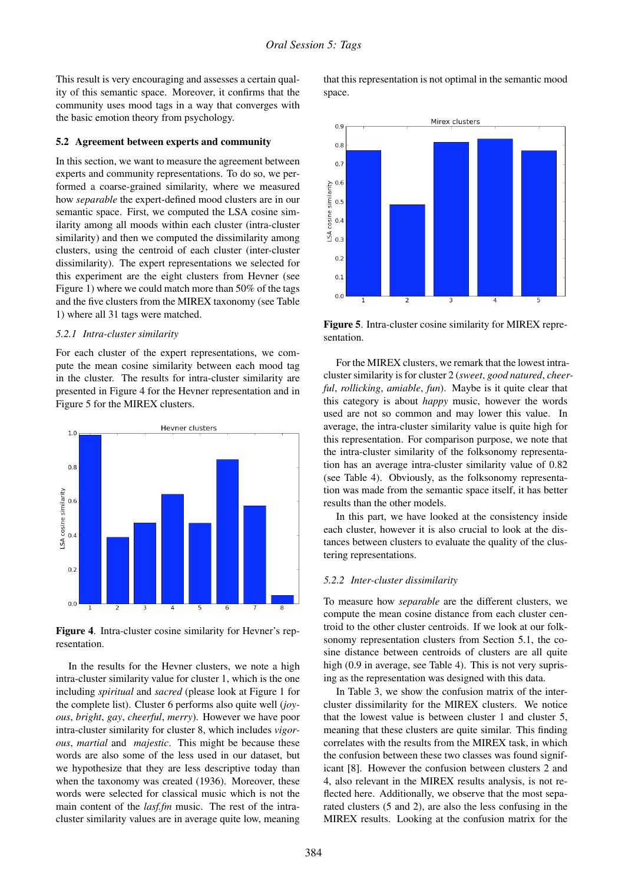This result is very encouraging and assesses a certain quality of this semantic space. Moreover, it confirms that the community uses mood tags in a way that converges with the basic emotion theory from psychology.

#### 5.2 Agreement between experts and community

In this section, we want to measure the agreement between experts and community representations. To do so, we performed a coarse-grained similarity, where we measured how *separable* the expert-defined mood clusters are in our semantic space. First, we computed the LSA cosine similarity among all moods within each cluster (intra-cluster similarity) and then we computed the dissimilarity among clusters, using the centroid of each cluster (inter-cluster dissimilarity). The expert representations we selected for this experiment are the eight clusters from Hevner (see Figure 1) where we could match more than 50% of the tags and the five clusters from the MIREX taxonomy (see Table 1) where all 31 tags were matched.

### *5.2.1 Intra-cluster similarity*

For each cluster of the expert representations, we compute the mean cosine similarity between each mood tag in the cluster. The results for intra-cluster similarity are presented in Figure 4 for the Hevner representation and in Figure 5 for the MIREX clusters.



Figure 4. Intra-cluster cosine similarity for Hevner's representation.

In the results for the Hevner clusters, we note a high intra-cluster similarity value for cluster 1, which is the one including *spiritual* and *sacred* (please look at Figure 1 for the complete list). Cluster 6 performs also quite well (*joyous*, *bright*, *gay*, *cheerful*, *merry*). However we have poor intra-cluster similarity for cluster 8, which includes *vigorous*, *martial* and *majestic*. This might be because these words are also some of the less used in our dataset, but we hypothesize that they are less descriptive today than when the taxonomy was created (1936). Moreover, these words were selected for classical music which is not the main content of the *lasf.fm* music. The rest of the intracluster similarity values are in average quite low, meaning

that this representation is not optimal in the semantic mood space.



Figure 5. Intra-cluster cosine similarity for MIREX representation.

For the MIREX clusters, we remark that the lowest intracluster similarity is for cluster 2 (*sweet*, *good natured*, *cheerful*, *rollicking*, *amiable*, *fun*). Maybe is it quite clear that this category is about *happy* music, however the words used are not so common and may lower this value. In average, the intra-cluster similarity value is quite high for this representation. For comparison purpose, we note that the intra-cluster similarity of the folksonomy representation has an average intra-cluster similarity value of 0.82 (see Table 4). Obviously, as the folksonomy representation was made from the semantic space itself, it has better results than the other models.

In this part, we have looked at the consistency inside each cluster, however it is also crucial to look at the distances between clusters to evaluate the quality of the clustering representations.

#### *5.2.2 Inter-cluster dissimilarity*

To measure how *separable* are the different clusters, we compute the mean cosine distance from each cluster centroid to the other cluster centroids. If we look at our folksonomy representation clusters from Section 5.1, the cosine distance between centroids of clusters are all quite high (0.9 in average, see Table 4). This is not very suprising as the representation was designed with this data.

In Table 3, we show the confusion matrix of the intercluster dissimilarity for the MIREX clusters. We notice that the lowest value is between cluster 1 and cluster 5, meaning that these clusters are quite similar. This finding correlates with the results from the MIREX task, in which the confusion between these two classes was found significant [8]. However the confusion between clusters 2 and 4, also relevant in the MIREX results analysis, is not reflected here. Additionally, we observe that the most separated clusters (5 and 2), are also the less confusing in the MIREX results. Looking at the confusion matrix for the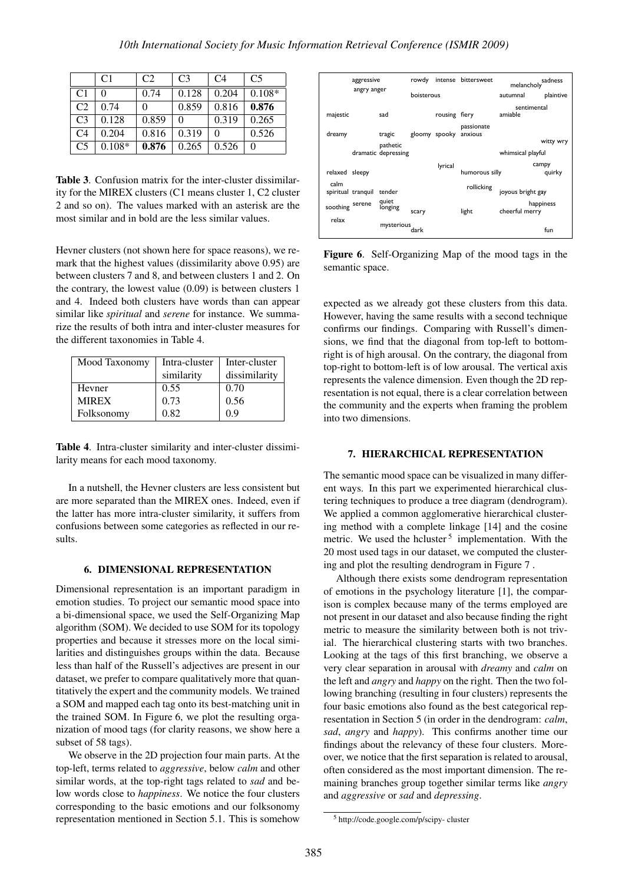|                | C <sub>1</sub> | C <sub>2</sub> | C <sub>3</sub> | C <sub>4</sub> | C <sub>5</sub> |
|----------------|----------------|----------------|----------------|----------------|----------------|
| C <sub>1</sub> |                | 0.74           | 0.128          | 0.204          | $0.108*$       |
| C <sub>2</sub> | 0.74           | 0              | 0.859          | 0.816          | 0.876          |
| C <sub>3</sub> | 0.128          | 0.859          | 0              | 0.319          | 0.265          |
| C <sub>4</sub> | 0.204          | 0.816          | 0.319          |                | 0.526          |
| C <sub>5</sub> | $0.108*$       | 0.876          | 0.265          | 0.526          | 0              |

Table 3. Confusion matrix for the inter-cluster dissimilarity for the MIREX clusters (C1 means cluster 1, C2 cluster 2 and so on). The values marked with an asterisk are the most similar and in bold are the less similar values.

Hevner clusters (not shown here for space reasons), we remark that the highest values (dissimilarity above 0.95) are between clusters 7 and 8, and between clusters 1 and 2. On the contrary, the lowest value (0.09) is between clusters 1 and 4. Indeed both clusters have words than can appear similar like *spiritual* and *serene* for instance. We summarize the results of both intra and inter-cluster measures for the different taxonomies in Table 4.

| Mood Taxonomy | Intra-cluster | Inter-cluster |  |
|---------------|---------------|---------------|--|
|               | similarity    | dissimilarity |  |
| Hevner        | 0.55          | 0.70          |  |
| <b>MIREX</b>  | 0.73          | 0.56          |  |
| Folksonomy    | 0.82          | 09            |  |

Table 4. Intra-cluster similarity and inter-cluster dissimilarity means for each mood taxonomy.

In a nutshell, the Hevner clusters are less consistent but are more separated than the MIREX ones. Indeed, even if the latter has more intra-cluster similarity, it suffers from confusions between some categories as reflected in our results.

## 6. DIMENSIONAL REPRESENTATION

Dimensional representation is an important paradigm in emotion studies. To project our semantic mood space into a bi-dimensional space, we used the Self-Organizing Map algorithm (SOM). We decided to use SOM for its topology properties and because it stresses more on the local similarities and distinguishes groups within the data. Because less than half of the Russell's adjectives are present in our dataset, we prefer to compare qualitatively more that quantitatively the expert and the community models. We trained a SOM and mapped each tag onto its best-matching unit in the trained SOM. In Figure 6, we plot the resulting organization of mood tags (for clarity reasons, we show here a subset of 58 tags).

We observe in the 2D projection four main parts. At the top-left, terms related to *aggressive*, below *calm* and other similar words, at the top-right tags related to *sad* and below words close to *happiness*. We notice the four clusters corresponding to the basic emotions and our folksonomy representation mentioned in Section 5.1. This is somehow



Figure 6. Self-Organizing Map of the mood tags in the semantic space.

expected as we already got these clusters from this data. However, having the same results with a second technique confirms our findings. Comparing with Russell's dimensions, we find that the diagonal from top-left to bottomright is of high arousal. On the contrary, the diagonal from top-right to bottom-left is of low arousal. The vertical axis represents the valence dimension. Even though the 2D representation is not equal, there is a clear correlation between the community and the experts when framing the problem into two dimensions.

### 7. HIERARCHICAL REPRESENTATION

The semantic mood space can be visualized in many different ways. In this part we experimented hierarchical clustering techniques to produce a tree diagram (dendrogram). We applied a common agglomerative hierarchical clustering method with a complete linkage [14] and the cosine metric. We used the hcluster  $5$  implementation. With the 20 most used tags in our dataset, we computed the clustering and plot the resulting dendrogram in Figure 7 .

Although there exists some dendrogram representation of emotions in the psychology literature [1], the comparison is complex because many of the terms employed are not present in our dataset and also because finding the right metric to measure the similarity between both is not trivial. The hierarchical clustering starts with two branches. Looking at the tags of this first branching, we observe a very clear separation in arousal with *dreamy* and *calm* on the left and *angry* and *happy* on the right. Then the two following branching (resulting in four clusters) represents the four basic emotions also found as the best categorical representation in Section 5 (in order in the dendrogram: *calm*, *sad*, *angry* and *happy*). This confirms another time our findings about the relevancy of these four clusters. Moreover, we notice that the first separation is related to arousal, often considered as the most important dimension. The remaining branches group together similar terms like *angry* and *aggressive* or *sad* and *depressing*.

<sup>5</sup> http://code.google.com/p/scipy- cluster